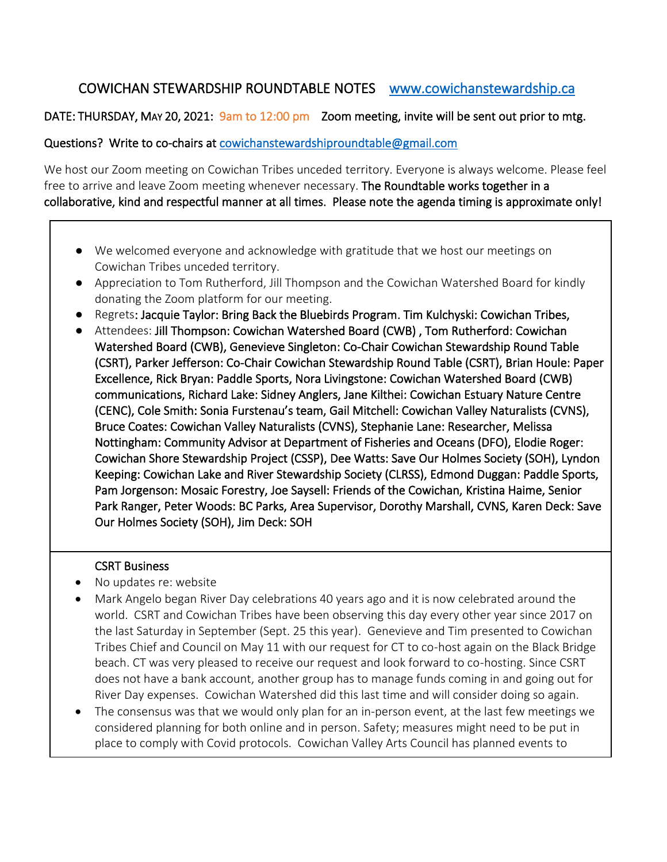# COWICHAN STEWARDSHIP ROUNDTABLE NOTES [www.cowichanstewardship.ca](http://www.cowichanstewardship.ca/)

## DATE: THURSDAY, MAY 20, 2021: 9am to 12:00 pm Zoom meeting, invite will be sent out prior to mtg.

### Questions? Write to co-chairs at [cowichanstewardshiproundtable@gmail.com](mailto:cowichanstewardshiproundtable@gmail.com)

We host our Zoom meeting on Cowichan Tribes unceded territory. Everyone is always welcome. Please feel free to arrive and leave Zoom meeting whenever necessary. The Roundtable works together in a collaborative, kind and respectful manner at all times. Please note the agenda timing is approximate only!

- We welcomed everyone and acknowledge with gratitude that we host our meetings on Cowichan Tribes unceded territory.
- Appreciation to Tom Rutherford, Jill Thompson and the Cowichan Watershed Board for kindly donating the Zoom platform for our meeting.
- Regrets: Jacquie Taylor: Bring Back the Bluebirds Program. Tim Kulchyski: Cowichan Tribes,
- Attendees: Jill Thompson: Cowichan Watershed Board (CWB), Tom Rutherford: Cowichan Watershed Board (CWB), Genevieve Singleton: Co-Chair Cowichan Stewardship Round Table (CSRT), Parker Jefferson: Co-Chair Cowichan Stewardship Round Table (CSRT), Brian Houle: Paper Excellence, Rick Bryan: Paddle Sports, Nora Livingstone: Cowichan Watershed Board (CWB) communications, Richard Lake: Sidney Anglers, Jane Kilthei: Cowichan Estuary Nature Centre (CENC), Cole Smith: Sonia Furstenau's team, Gail Mitchell: Cowichan Valley Naturalists (CVNS), Bruce Coates: Cowichan Valley Naturalists (CVNS), Stephanie Lane: Researcher, Melissa Nottingham: Community Advisor at Department of Fisheries and Oceans (DFO), Elodie Roger: Cowichan Shore Stewardship Project (CSSP), Dee Watts: Save Our Holmes Society (SOH), Lyndon Keeping: Cowichan Lake and River Stewardship Society (CLRSS), Edmond Duggan: Paddle Sports, Pam Jorgenson: Mosaic Forestry, Joe Saysell: Friends of the Cowichan, Kristina Haime, Senior Park Ranger, Peter Woods: BC Parks, Area Supervisor, Dorothy Marshall, CVNS, Karen Deck: Save Our Holmes Society (SOH), Jim Deck: SOH

#### CSRT Business

- No updates re: website
- Mark Angelo began River Day celebrations 40 years ago and it is now celebrated around the world. CSRT and Cowichan Tribes have been observing this day every other year since 2017 on the last Saturday in September (Sept. 25 this year). Genevieve and Tim presented to Cowichan Tribes Chief and Council on May 11 with our request for CT to co-host again on the Black Bridge beach. CT was very pleased to receive our request and look forward to co-hosting. Since CSRT does not have a bank account, another group has to manage funds coming in and going out for River Day expenses. Cowichan Watershed did this last time and will consider doing so again.
- The consensus was that we would only plan for an in-person event, at the last few meetings we considered planning for both online and in person. Safety; measures might need to be put in place to comply with Covid protocols. Cowichan Valley Arts Council has planned events to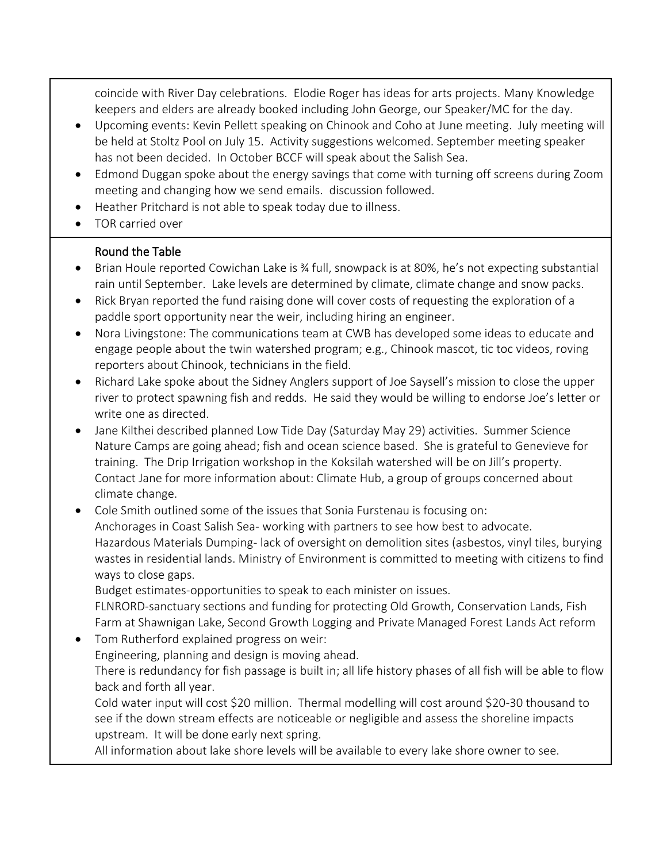coincide with River Day celebrations. Elodie Roger has ideas for arts projects. Many Knowledge keepers and elders are already booked including John George, our Speaker/MC for the day.

- Upcoming events: Kevin Pellett speaking on Chinook and Coho at June meeting. July meeting will be held at Stoltz Pool on July 15. Activity suggestions welcomed. September meeting speaker has not been decided. In October BCCF will speak about the Salish Sea.
- Edmond Duggan spoke about the energy savings that come with turning off screens during Zoom meeting and changing how we send emails. discussion followed.
- Heather Pritchard is not able to speak today due to illness.
- TOR carried over

## Round the Table

- Brian Houle reported Cowichan Lake is ¾ full, snowpack is at 80%, he's not expecting substantial rain until September. Lake levels are determined by climate, climate change and snow packs.
- Rick Bryan reported the fund raising done will cover costs of requesting the exploration of a paddle sport opportunity near the weir, including hiring an engineer.
- Nora Livingstone: The communications team at CWB has developed some ideas to educate and engage people about the twin watershed program; e.g., Chinook mascot, tic toc videos, roving reporters about Chinook, technicians in the field.
- Richard Lake spoke about the Sidney Anglers support of Joe Saysell's mission to close the upper river to protect spawning fish and redds. He said they would be willing to endorse Joe's letter or write one as directed.
- Jane Kilthei described planned Low Tide Day (Saturday May 29) activities. Summer Science Nature Camps are going ahead; fish and ocean science based. She is grateful to Genevieve for training. The Drip Irrigation workshop in the Koksilah watershed will be on Jill's property. Contact Jane for more information about: Climate Hub, a group of groups concerned about climate change.
- Cole Smith outlined some of the issues that Sonia Furstenau is focusing on: Anchorages in Coast Salish Sea- working with partners to see how best to advocate. Hazardous Materials Dumping- lack of oversight on demolition sites (asbestos, vinyl tiles, burying wastes in residential lands. Ministry of Environment is committed to meeting with citizens to find ways to close gaps.

Budget estimates-opportunities to speak to each minister on issues.

FLNRORD-sanctuary sections and funding for protecting Old Growth, Conservation Lands, Fish Farm at Shawnigan Lake, Second Growth Logging and Private Managed Forest Lands Act reform

• Tom Rutherford explained progress on weir: Engineering, planning and design is moving ahead. There is redundancy for fish passage is built in; all life history phases of all fish will be able to flow back and forth all year.

Cold water input will cost \$20 million. Thermal modelling will cost around \$20-30 thousand to see if the down stream effects are noticeable or negligible and assess the shoreline impacts upstream. It will be done early next spring.

All information about lake shore levels will be available to every lake shore owner to see.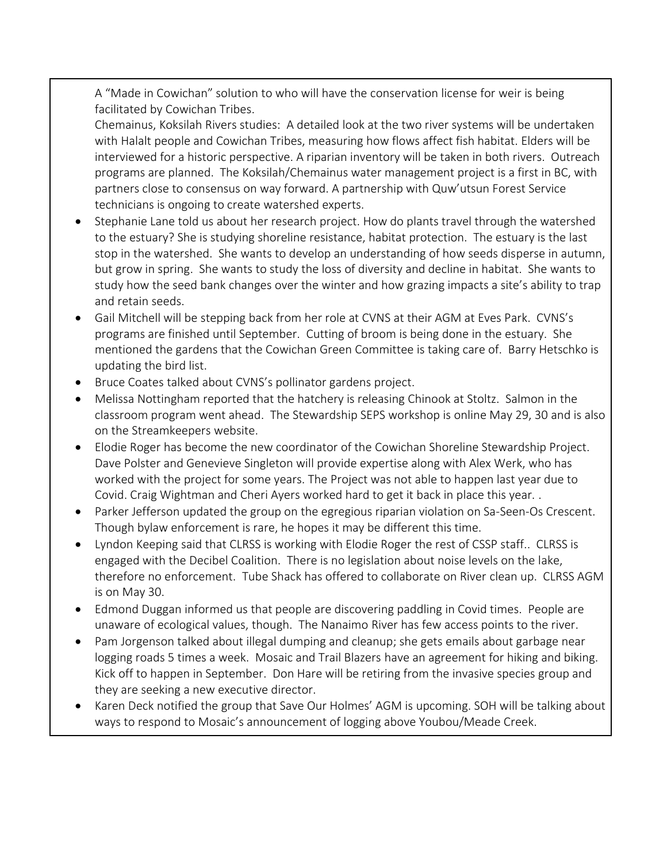A "Made in Cowichan" solution to who will have the conservation license for weir is being facilitated by Cowichan Tribes.

Chemainus, Koksilah Rivers studies: A detailed look at the two river systems will be undertaken with Halalt people and Cowichan Tribes, measuring how flows affect fish habitat. Elders will be interviewed for a historic perspective. A riparian inventory will be taken in both rivers. Outreach programs are planned. The Koksilah/Chemainus water management project is a first in BC, with partners close to consensus on way forward. A partnership with Quw'utsun Forest Service technicians is ongoing to create watershed experts.

- Stephanie Lane told us about her research project. How do plants travel through the watershed to the estuary? She is studying shoreline resistance, habitat protection. The estuary is the last stop in the watershed. She wants to develop an understanding of how seeds disperse in autumn, but grow in spring. She wants to study the loss of diversity and decline in habitat. She wants to study how the seed bank changes over the winter and how grazing impacts a site's ability to trap and retain seeds.
- Gail Mitchell will be stepping back from her role at CVNS at their AGM at Eves Park. CVNS's programs are finished until September. Cutting of broom is being done in the estuary. She mentioned the gardens that the Cowichan Green Committee is taking care of. Barry Hetschko is updating the bird list.
- Bruce Coates talked about CVNS's pollinator gardens project.
- Melissa Nottingham reported that the hatchery is releasing Chinook at Stoltz. Salmon in the classroom program went ahead. The Stewardship SEPS workshop is online May 29, 30 and is also on the Streamkeepers website.
- Elodie Roger has become the new coordinator of the Cowichan Shoreline Stewardship Project. Dave Polster and Genevieve Singleton will provide expertise along with Alex Werk, who has worked with the project for some years. The Project was not able to happen last year due to Covid. Craig Wightman and Cheri Ayers worked hard to get it back in place this year. .
- Parker Jefferson updated the group on the egregious riparian violation on Sa-Seen-Os Crescent. Though bylaw enforcement is rare, he hopes it may be different this time.
- Lyndon Keeping said that CLRSS is working with Elodie Roger the rest of CSSP staff.. CLRSS is engaged with the Decibel Coalition. There is no legislation about noise levels on the lake, therefore no enforcement. Tube Shack has offered to collaborate on River clean up. CLRSS AGM is on May 30.
- Edmond Duggan informed us that people are discovering paddling in Covid times. People are unaware of ecological values, though. The Nanaimo River has few access points to the river.
- Pam Jorgenson talked about illegal dumping and cleanup; she gets emails about garbage near logging roads 5 times a week. Mosaic and Trail Blazers have an agreement for hiking and biking. Kick off to happen in September. Don Hare will be retiring from the invasive species group and they are seeking a new executive director.
- Karen Deck notified the group that Save Our Holmes' AGM is upcoming. SOH will be talking about ways to respond to Mosaic's announcement of logging above Youbou/Meade Creek.